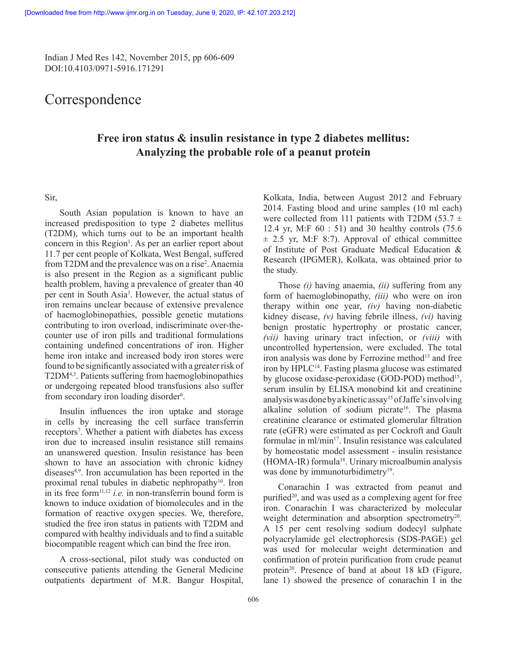Indian J Med Res 142, November 2015, pp 606-609 DOI:10.4103/0971-5916.171291

# **Correspondence**

## **Free iron status & insulin resistance in type 2 diabetes mellitus: Analyzing the probable role of a peanut protein**

## Sir,

South Asian population is known to have an increased predisposition to type 2 diabetes mellitus (T2DM), which turns out to be an important health concern in this Region<sup>1</sup>. As per an earlier report about 11.7 per cent people of Kolkata, West Bengal, suffered from T2DM and the prevalence was on a rise<sup>2</sup>. Anaemia is also present in the Region as a significant public health problem, having a prevalence of greater than 40 per cent in South Asia<sup>3</sup>. However, the actual status of iron remains unclear because of extensive prevalence of haemoglobinopathies, possible genetic mutations contributing to iron overload, indiscriminate over-thecounter use of iron pills and traditional formulations containing undefined concentrations of iron. Higher heme iron intake and increased body iron stores were found to be significantly associated with a greater risk of T2DM<sup>4,5</sup>. Patients suffering from haemoglobinopathies or undergoing repeated blood transfusions also suffer from secondary iron loading disorder<sup>6</sup>.

Insulin influences the iron uptake and storage in cells by increasing the cell surface transferrin receptors<sup>7</sup>. Whether a patient with diabetes has excess iron due to increased insulin resistance still remains an unanswered question. Insulin resistance has been shown to have an association with chronic kidney diseases<sup>8,9</sup>. Iron accumulation has been reported in the proximal renal tubules in diabetic nephropathy $10$ . Iron in its free form<sup>11,12</sup> *i.e.* in non-transferrin bound form is known to induce oxidation of biomolecules and in the formation of reactive oxygen species. We, therefore, studied the free iron status in patients with T2DM and compared with healthy individuals and to find a suitable biocompatible reagent which can bind the free iron.

A cross-sectional, pilot study was conducted on consecutive patients attending the General Medicine outpatients department of M.R. Bangur Hospital,

Kolkata, India, between August 2012 and February 2014. Fasting blood and urine samples (10 ml each) were collected from 111 patients with T2DM (53.7  $\pm$ 12.4 yr, M:F 60 : 51) and 30 healthy controls (75.6  $\pm$  2.5 yr, M:F 8:7). Approval of ethical committee of Institute of Post Graduate Medical Education & Research (IPGMER), Kolkata, was obtained prior to the study.

Those *(i)* having anaemia, *(ii)* suffering from any form of haemoglobinopathy, *(iii)* who were on iron therapy within one year, *(iv)* having non-diabetic kidney disease, *(v)* having febrile illness, *(vi)* having benign prostatic hypertrophy or prostatic cancer, *(vii)* having urinary tract infection, or *(viii)* with uncontrolled hypertension, were excluded. The total iron analysis was done by Ferrozine method<sup>13</sup> and free iron by HPLC<sup>14</sup>. Fasting plasma glucose was estimated by glucose oxidase-peroxidase (GOD-POD) method<sup>15</sup>, serum insulin by ELISA monobind kit and creatinine analysis was done by a kinetic assay15 of Jaffe's involving alkaline solution of sodium picrate<sup>16</sup>. The plasma creatinine clearance or estimated glomerular filtration rate (eGFR) were estimated as per Cockroft and Gault formulae in ml/min<sup>17</sup>. Insulin resistance was calculated by homeostatic model assessment - insulin resistance (HOMA-IR) formula18. Urinary microalbumin analysis was done by immunoturbidimetry<sup>19</sup>.

Conarachin I was extracted from peanut and purified<sup>20</sup>, and was used as a complexing agent for free iron. Conarachin I was characterized by molecular weight determination and absorption spectrometry<sup>20</sup>. A 15 per cent resolving sodium dodecyl sulphate polyacrylamide gel electrophoresis (SDS-PAGE) gel was used for molecular weight determination and confirmation of protein purification from crude peanut protein<sup>20</sup>. Presence of band at about 18 kD (Figure, lane 1) showed the presence of conarachin I in the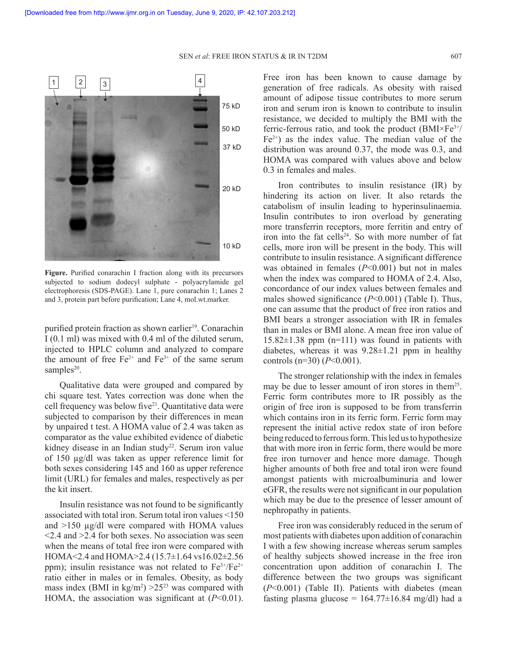SEN *et al*: FREE IRON STATUS & IR IN T2DM 607



**Figure.** Purified conarachin I fraction along with its precursors subjected to sodium dodecyl sulphate - polyacrylamide gel electrophoresis (SDS-PAGE). Lane 1, pure conarachin 1; Lanes 2 and 3, protein part before purification; Lane 4, mol.wt.marker.

purified protein fraction as shown earlier<sup>19</sup>. Conarachin I (0.1 ml) was mixed with 0.4 ml of the diluted serum, injected to HPLC column and analyzed to compare the amount of free  $Fe^{2+}$  and  $Fe^{3+}$  of the same serum samples $20$ .

Qualitative data were grouped and compared by chi square test. Yates correction was done when the cell frequency was below five21. Quantitative data were subjected to comparison by their differences in mean by unpaired t test. A HOMA value of 2.4 was taken as comparator as the value exhibited evidence of diabetic kidney disease in an Indian study<sup>22</sup>. Serum iron value of 150 µg/dl was taken as upper reference limit for both sexes considering 145 and 160 as upper reference limit (URL) for females and males, respectively as per the kit insert.

Insulin resistance was not found to be significantly associated with total iron. Serum total iron values <150 and >150 µg/dl were compared with HOMA values  $\leq$  2.4 and  $\geq$  2.4 for both sexes. No association was seen when the means of total free iron were compared with HOMA<2.4 and HOMA>2.4 (15.7±1.64 vs16.02±2.56 ppm); insulin resistance was not related to  $Fe^{3+}/Fe^{2+}$ ratio either in males or in females. Obesity, as body mass index (BMI in  $\text{kg/m}^2$ ) > 25<sup>23</sup> was compared with HOMA, the association was significant at (*P*<0.01).

Free iron has been known to cause damage by generation of free radicals. As obesity with raised amount of adipose tissue contributes to more serum iron and serum iron is known to contribute to insulin resistance, we decided to multiply the BMI with the ferric-ferrous ratio, and took the product  $(BMI \times Fe^{3+}/$  $Fe<sup>2+</sup>$ ) as the index value. The median value of the distribution was around 0.37, the mode was 0.3, and HOMA was compared with values above and below 0.3 in females and males.

Iron contributes to insulin resistance (IR) by hindering its action on liver. It also retards the catabolism of insulin leading to hyperinsulinaemia. Insulin contributes to iron overload by generating more transferrin receptors, more ferritin and entry of iron into the fat cells<sup>24</sup>. So with more number of fat cells, more iron will be present in the body. This will contribute to insulin resistance. A significant difference was obtained in females (*P*<0.001) but not in males when the index was compared to HOMA of 2.4. Also, concordance of our index values between females and males showed significance (*P*<0.001) (Table I). Thus, one can assume that the product of free iron ratios and BMI bears a stronger association with IR in females than in males or BMI alone. A mean free iron value of  $15.82\pm1.38$  ppm (n=111) was found in patients with diabetes, whereas it was 9.28±1.21 ppm in healthy controls (n=30) (*P*<0.001).

The stronger relationship with the index in females may be due to lesser amount of iron stores in them<sup>25</sup>. Ferric form contributes more to IR possibly as the origin of free iron is supposed to be from transferrin which contains iron in its ferric form. Ferric form may represent the initial active redox state of iron before being reduced to ferrous form. This led us to hypothesize that with more iron in ferric form, there would be more free iron turnover and hence more damage. Though higher amounts of both free and total iron were found amongst patients with microalbuminuria and lower eGFR, the results were not significant in our population which may be due to the presence of lesser amount of nephropathy in patients.

Free iron was considerably reduced in the serum of most patients with diabetes upon addition of conarachin I with a few showing increase whereas serum samples of healthy subjects showed increase in the free iron concentration upon addition of conarachin I. The difference between the two groups was significant (*P*<0.001) (Table II). Patients with diabetes (mean fasting plasma glucose =  $164.77 \pm 16.84$  mg/dl) had a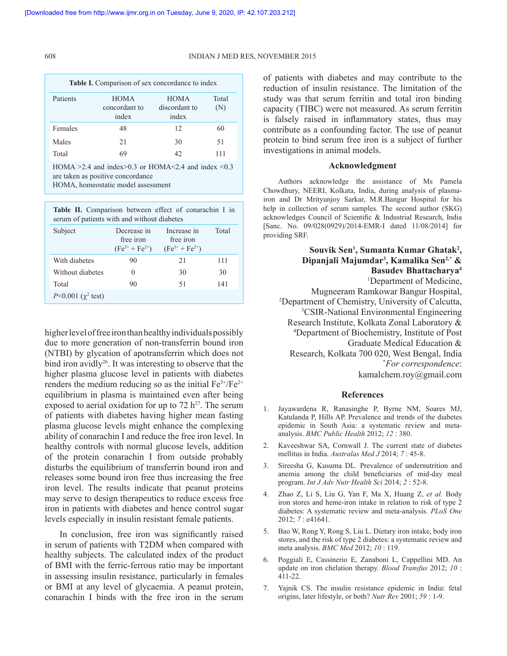#### 608 INDIAN J MED RES, NOVEMBER 2015

| Table I. Comparison of sex concordance to index |                                       |                                       |              |  |
|-------------------------------------------------|---------------------------------------|---------------------------------------|--------------|--|
| Patients                                        | <b>HOMA</b><br>concordant to<br>index | <b>HOMA</b><br>discordant to<br>index | Total<br>(N) |  |
| Females                                         | 48                                    | 12                                    | 60           |  |
| Males                                           | 21                                    | 30                                    | 51           |  |
| Total                                           | 69                                    |                                       | 111          |  |

HOMA  $\geq$  2.4 and index $\geq$  0.3 or HOMA  $\leq$  2.4 and index  $\leq$  0.3 are taken as positive concordance HOMA, homeostatic model assessment

| Table II. Comparison between effect of conarachin I in<br>serum of patients with and without diabetes |                                                   |                                                   |       |  |
|-------------------------------------------------------------------------------------------------------|---------------------------------------------------|---------------------------------------------------|-------|--|
| Subject                                                                                               | Decrease in<br>free iron<br>$(Fe^{3+} + Fe^{2+})$ | Increase in<br>free iron<br>$(Fe^{3+} + Fe^{2+})$ | Total |  |
| With diabetes                                                                                         | 90                                                | 21                                                | 111   |  |
| Without diabetes                                                                                      | 0                                                 | 30                                                | 30    |  |
| Total                                                                                                 | 90                                                | 51                                                | 141   |  |
| $P<0.001$ ( $\gamma^2$ test)                                                                          |                                                   |                                                   |       |  |

higher level of free iron than healthy individuals possibly due to more generation of non-transferrin bound iron (NTBI) by glycation of apotransferrin which does not bind iron avidly<sup>26</sup>. It was interesting to observe that the higher plasma glucose level in patients with diabetes renders the medium reducing so as the initial  $Fe^{3+}/Fe^{2+}$ equilibrium in plasma is maintained even after being exposed to aerial oxidation for up to  $72 h^{27}$ . The serum of patients with diabetes having higher mean fasting plasma glucose levels might enhance the complexing ability of conarachin I and reduce the free iron level. In healthy controls with normal glucose levels, addition of the protein conarachin I from outside probably disturbs the equilibrium of transferrin bound iron and releases some bound iron free thus increasing the free iron level. The results indicate that peanut proteins may serve to design therapeutics to reduce excess free iron in patients with diabetes and hence control sugar levels especially in insulin resistant female patients.

In conclusion, free iron was significantly raised in serum of patients with T2DM when compared with healthy subjects. The calculated index of the product of BMI with the ferric-ferrous ratio may be important in assessing insulin resistance, particularly in females or BMI at any level of glycaemia. A peanut protein, conarachin I binds with the free iron in the serum

of patients with diabetes and may contribute to the reduction of insulin resistance. The limitation of the study was that serum ferritin and total iron binding capacity (TIBC) were not measured. As serum ferritin is falsely raised in inflammatory states, thus may contribute as a confounding factor. The use of peanut protein to bind serum free iron is a subject of further investigations in animal models.

## **Acknowledgment**

Authors acknowledge the assistance of Ms Pamela Chowdhury, NEERI, Kolkata, India, during analysis of plasmairon and Dr Mrityunjoy Sarkar, M.R.Bangur Hospital for his help in collection of serum samples. The second author (SKG) acknowledges Council of Scientific & Industrial Research, India [Sanc. No. 09/028(0929)/2014-EMR-I dated 11/08/2014] for providing SRF.

## **Souvik Sen<sup>1</sup> , Sumanta Kumar Ghatak<sup>2</sup> , Dipanjali Majumdar3 , Kamalika Sen2,\* & Basudev Bhattacharya<sup>4</sup>** 1 Department of Medicine, Mugneeram Ramkowar Bangur Hospital, 2 Department of Chemistry, University of Calcutta, 3 CSIR-National Environmental Engineering Research Institute, Kolkata Zonal Laboratory & 4 Department of Biochemistry, Institute of Post Graduate Medical Education & Research, Kolkata 700 020, West Bengal, India \* *For correspondence*:

kamalchem.roy@gmail.com

## **References**

- 1. Jayawardena R, Ranasinghe P, Byrne NM, Soares MJ, Katulanda P, Hills AP. Prevalence and trends of the diabetes epidemic in South Asia: a systematic review and metaanalysis. *BMC Public Health* 2012; *12* : 380.
- 2. Kaveeshwar SA, Cornwall J. The current state of diabetes mellitus in India. *Australas Med J* 2014; *7* : 45-8.
- 3. Sireesha G, Kusuma DL*.* Prevalence of undernutrition and anemia among the child beneficiaries of mid-day meal program. *Int J Adv Nutr Health Sci* 2014; *2* : 52-8.
- 4. Zhao Z, Li S, Liu G, Yan F, Ma X, Huang Z, *et al.* Body iron stores and heme-iron intake in relation to risk of type 2 diabetes: A systematic review and meta-analysis. *PLoS One* 2012; *7* : e41641.
- 5. Bao W, Rong Y, Rong S, Liu L. Dietary iron intake, body iron stores, and the risk of type 2 diabetes: a systematic review and meta analysis. *BMC Med* 2012; *10* : 119.
- 6. Poggiali E, Cassinerio E, Zanaboni L, Cappellini MD. An update on iron chelation therapy. *Blood Transfus* 2012; *10* : 411-22.
- 7. Yajnik CS. The insulin resistance epidemic in India: fetal origins, later lifestyle, or both? *Nutr Rev* 2001; *59* : 1-9.